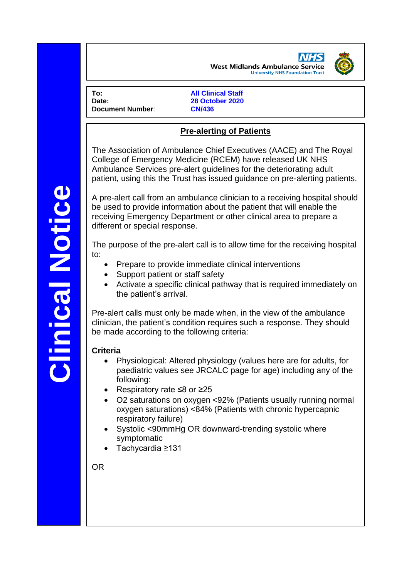**West Midlands Ambulance Service University NHS Foundation Trust** 

**To: All Clinical Staff Document Number**: **CN/436**

**Date: 28 October 2020**

# **Pre-alerting of Patients**

The Association of Ambulance Chief Executives (AACE) and The Royal College of Emergency Medicine (RCEM) have released UK NHS Ambulance Services pre-alert guidelines for the deteriorating adult patient, using this the Trust has issued guidance on pre-alerting patients.

A pre-alert call from an ambulance clinician to a receiving hospital should be used to provide information about the patient that will enable the receiving Emergency Department or other clinical area to prepare a different or special response.

The purpose of the pre-alert call is to allow time for the receiving hospital to:

- Prepare to provide immediate clinical interventions
- Support patient or staff safety
- Activate a specific clinical pathway that is required immediately on the patient's arrival.

Pre-alert calls must only be made when, in the view of the ambulance clinician, the patient's condition requires such a response. They should be made according to the following criteria:

### **Criteria**

- Physiological: Altered physiology (values here are for adults, for paediatric values see JRCALC page for age) including any of the following:
- Respiratory rate ≤8 or ≥25
- O2 saturations on oxygen <92% (Patients usually running normal oxygen saturations) <84% (Patients with chronic hypercapnic respiratory failure)
- Systolic <90mmHg OR downward-trending systolic where symptomatic
- Tachycardia ≥131

OR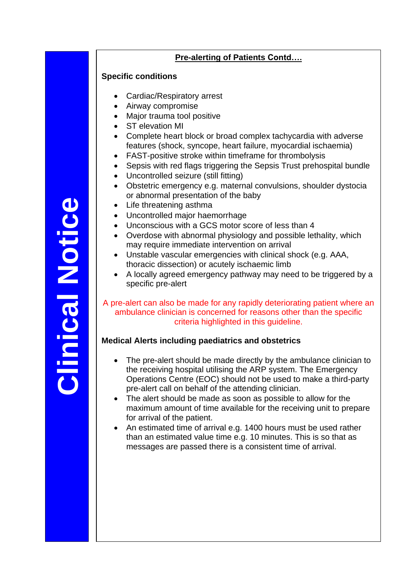# **Clinical NoticeClinical Notice**

# **Pre-alerting of Patients Contd….**

### **Specific conditions**

- Cardiac/Respiratory arrest
- Airway compromise
- Major trauma tool positive
- ST elevation MI
- Complete heart block or broad complex tachycardia with adverse features (shock, syncope, heart failure, myocardial ischaemia)
- FAST-positive stroke within timeframe for thrombolysis
- Sepsis with red flags triggering the Sepsis Trust prehospital bundle
- Uncontrolled seizure (still fitting)
- Obstetric emergency e.g. maternal convulsions, shoulder dystocia or abnormal presentation of the baby
- Life threatening asthma
- Uncontrolled major haemorrhage
- Unconscious with a GCS motor score of less than 4
- Overdose with abnormal physiology and possible lethality, which may require immediate intervention on arrival
- Unstable vascular emergencies with clinical shock (e.g. AAA, thoracic dissection) or acutely ischaemic limb
- A locally agreed emergency pathway may need to be triggered by a specific pre-alert

### A pre-alert can also be made for any rapidly deteriorating patient where an ambulance clinician is concerned for reasons other than the specific criteria highlighted in this guideline.

# **Medical Alerts including paediatrics and obstetrics**

- The pre-alert should be made directly by the ambulance clinician to the receiving hospital utilising the ARP system. The Emergency Operations Centre (EOC) should not be used to make a third-party pre-alert call on behalf of the attending clinician.
- The alert should be made as soon as possible to allow for the maximum amount of time available for the receiving unit to prepare for arrival of the patient.
- An estimated time of arrival e.g. 1400 hours must be used rather than an estimated value time e.g. 10 minutes. This is so that as messages are passed there is a consistent time of arrival.